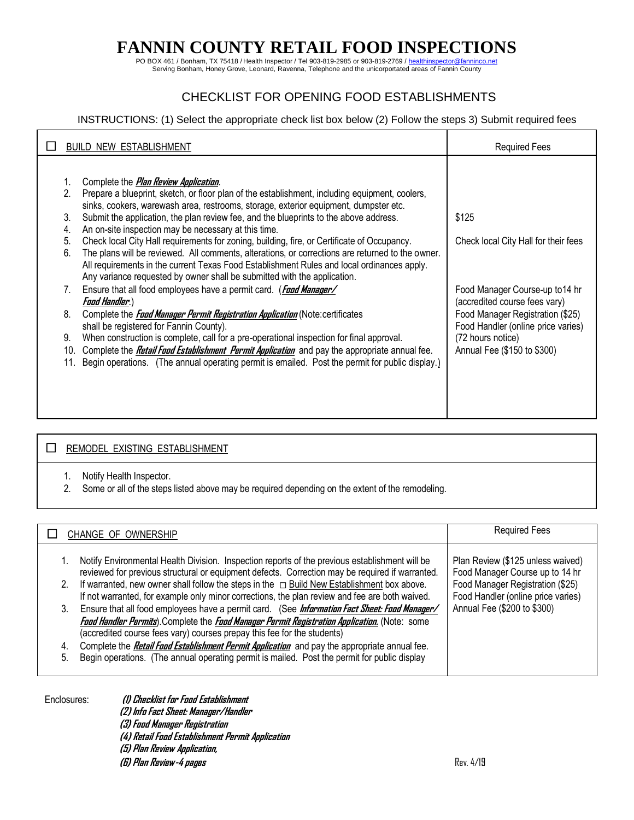PO BOX 461 / Bonham, TX 75418 / Health Inspector / Tel 903-819-2985 or 903-819-2769 / healthinspector@fanninco.net<br>Serving Bonham, Honey Grove, Leonard, Ravenna, Telephone and the unicorportated areas of Fannin County

## CHECKLIST FOR OPENING FOOD ESTABLISHMENTS

### INSTRUCTIONS: (1) Select the appropriate check list box below (2) Follow the steps 3) Submit required fees

|                                                                                        | <b>BUILD NEW ESTABLISHMENT</b>                                                                                                                                                                                                                                                                                                                                                                                                                                                                                                                                                                                                                                                                                                                                                                                                                                                                                                                                                                                                                                                                                                                                                                                                                                                                         | <b>Required Fees</b>                                                                                                                                                                                                                            |
|----------------------------------------------------------------------------------------|--------------------------------------------------------------------------------------------------------------------------------------------------------------------------------------------------------------------------------------------------------------------------------------------------------------------------------------------------------------------------------------------------------------------------------------------------------------------------------------------------------------------------------------------------------------------------------------------------------------------------------------------------------------------------------------------------------------------------------------------------------------------------------------------------------------------------------------------------------------------------------------------------------------------------------------------------------------------------------------------------------------------------------------------------------------------------------------------------------------------------------------------------------------------------------------------------------------------------------------------------------------------------------------------------------|-------------------------------------------------------------------------------------------------------------------------------------------------------------------------------------------------------------------------------------------------|
| 2.<br>3.<br>4.<br>5.<br>6.<br>$7_{\scriptscriptstyle{\sim}}$<br>8.<br>9.<br>10.<br>11. | Complete the <i>Plan Review Application</i> .<br>Prepare a blueprint, sketch, or floor plan of the establishment, including equipment, coolers,<br>sinks, cookers, warewash area, restrooms, storage, exterior equipment, dumpster etc.<br>Submit the application, the plan review fee, and the blueprints to the above address.<br>An on-site inspection may be necessary at this time.<br>Check local City Hall requirements for zoning, building, fire, or Certificate of Occupancy.<br>The plans will be reviewed. All comments, alterations, or corrections are returned to the owner.<br>All requirements in the current Texas Food Establishment Rules and local ordinances apply.<br>Any variance requested by owner shall be submitted with the application.<br>Ensure that all food employees have a permit card. (Food Manager/<br>Food Handler.)<br>Complete the <b>Food Manager Permit Registration Application</b> (Note: certificates<br>shall be registered for Fannin County).<br>When construction is complete, call for a pre-operational inspection for final approval.<br>Complete the <i>Retail Food Establishment Permit Application</i> and pay the appropriate annual fee.<br>Begin operations. (The annual operating permit is emailed. Post the permit for public display.) | \$125<br>Check local City Hall for their fees<br>Food Manager Course-up to 14 hr<br>(accredited course fees vary)<br>Food Manager Registration (\$25)<br>Food Handler (online price varies)<br>(72 hours notice)<br>Annual Fee (\$150 to \$300) |
|                                                                                        |                                                                                                                                                                                                                                                                                                                                                                                                                                                                                                                                                                                                                                                                                                                                                                                                                                                                                                                                                                                                                                                                                                                                                                                                                                                                                                        |                                                                                                                                                                                                                                                 |

#### **EXISTING ESTABLISHMENT**

- 1. Notify Health Inspector.
- 2. Some or all of the steps listed above may be required depending on the extent of the remodeling.

| CHANGE OF OWNERSHIP                                                                                                                                                                                                                                                                                                                                                                                                                                                                                                                                                                                                  | Required Fees                                                                                                                                                                 |
|----------------------------------------------------------------------------------------------------------------------------------------------------------------------------------------------------------------------------------------------------------------------------------------------------------------------------------------------------------------------------------------------------------------------------------------------------------------------------------------------------------------------------------------------------------------------------------------------------------------------|-------------------------------------------------------------------------------------------------------------------------------------------------------------------------------|
| Notify Environmental Health Division. Inspection reports of the previous establishment will be<br>reviewed for previous structural or equipment defects. Correction may be required if warranted.<br>If warranted, new owner shall follow the steps in the $\Box$ Build New Establishment box above.<br>2.<br>If not warranted, for example only minor corrections, the plan review and fee are both waived.<br>Ensure that all food employees have a permit card. (See Information Fact Sheet: Food Manager/<br>3.<br>Faad Handler Permits). Complete the Faad Manager Permit Registration Application. (Note: some | Plan Review (\$125 unless waived)<br>Food Manager Course up to 14 hr<br>Food Manager Registration (\$25)<br>Food Handler (online price varies)<br>Annual Fee (\$200 to \$300) |
| (accredited course fees vary) courses prepay this fee for the students)                                                                                                                                                                                                                                                                                                                                                                                                                                                                                                                                              |                                                                                                                                                                               |
| Complete the <i>Retail Food Establishment Permit Application</i> and pay the appropriate annual fee.<br>4.                                                                                                                                                                                                                                                                                                                                                                                                                                                                                                           |                                                                                                                                                                               |
| Begin operations. (The annual operating permit is mailed. Post the permit for public display<br>5.                                                                                                                                                                                                                                                                                                                                                                                                                                                                                                                   |                                                                                                                                                                               |

Enclosures: **(1) Checklist for Food Establishment (2) Info Fact Sheet: Manager/Handler (3) Food Manager Registration (4) Retail Food Establishment Permit Application (5) Plan Review Application, (6) Plan Review-4 pages** Rev. 4/19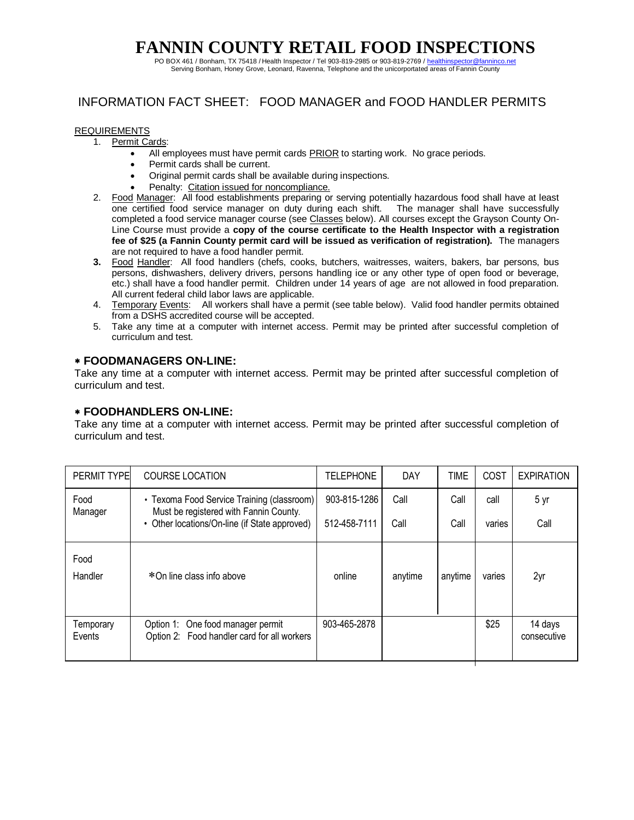PO BOX 461 / Bonham, TX 75418 / Health Inspector / Tel 903-819-2985 or 903-819-2769 / healthinspector@fanninco.net Serving Bonham, Honey Grove, Leonard, Ravenna, Telephone and the unicorportated areas of Fannin County

## INFORMATION FACT SHEET: FOOD MANAGER and FOOD HANDLER PERMITS

#### REQUIREMENTS

- 1. Permit Cards:
	- All employees must have permit cards PRIOR to starting work. No grace periods.
	- Permit cards shall be current.
	- Original permit cards shall be available during inspections.
	- Penalty: Citation issued for noncompliance.
- 2. Food Manager: All food establishments preparing or serving potentially hazardous food shall have at least one certified food service manager on duty during each shift. The manager shall have successfully completed a food service manager course (see Classes below). All courses except the Grayson County On-Line Course must provide a **copy of the course certificate to the Health Inspector with a registration fee of \$25 (a Fannin County permit card will be issued as verification of registration).** The managers are not required to have a food handler permit.
- **3.** Food Handler: All food handlers (chefs, cooks, butchers, waitresses, waiters, bakers, bar persons, bus persons, dishwashers, delivery drivers, persons handling ice or any other type of open food or beverage, etc.) shall have a food handler permit. Children under 14 years of age are not allowed in food preparation. All current federal child labor laws are applicable.
- 4. Temporary Events: All workers shall have a permit (see table below). Valid food handler permits obtained from a DSHS accredited course will be accepted.
- 5. Take any time at a computer with internet access. Permit may be printed after successful completion of curriculum and test.

### **FOODMANAGERS ON-LINE:**

Take any time at a computer with internet access. Permit may be printed after successful completion of curriculum and test.

#### **FOODHANDLERS ON-LINE:**

Take any time at a computer with internet access. Permit may be printed after successful completion of curriculum and test.

| <b>PERMIT TYPE</b>  | <b>COURSE LOCATION</b>                                                               | <b>TELEPHONE</b> | <b>DAY</b> | <b>TIME</b> | COST   | <b>EXPIRATION</b>      |
|---------------------|--------------------------------------------------------------------------------------|------------------|------------|-------------|--------|------------------------|
| Food<br>Manager     | • Texoma Food Service Training (classroom)<br>Must be registered with Fannin County. | 903-815-1286     | Call       | Call        | call   | 5 yr                   |
|                     | Other locations/On-line (if State approved)                                          | 512-458-7111     | Call       | Call        | varies | Call                   |
| Food                |                                                                                      |                  |            |             |        |                        |
| Handler             | *On line class info above                                                            | online           | anytime    | anytime     | varies | 2yr                    |
|                     |                                                                                      |                  |            |             |        |                        |
| Temporary<br>Events | Option 1: One food manager permit<br>Option 2: Food handler card for all workers     | 903-465-2878     |            |             | \$25   | 14 days<br>consecutive |
|                     |                                                                                      |                  |            |             |        |                        |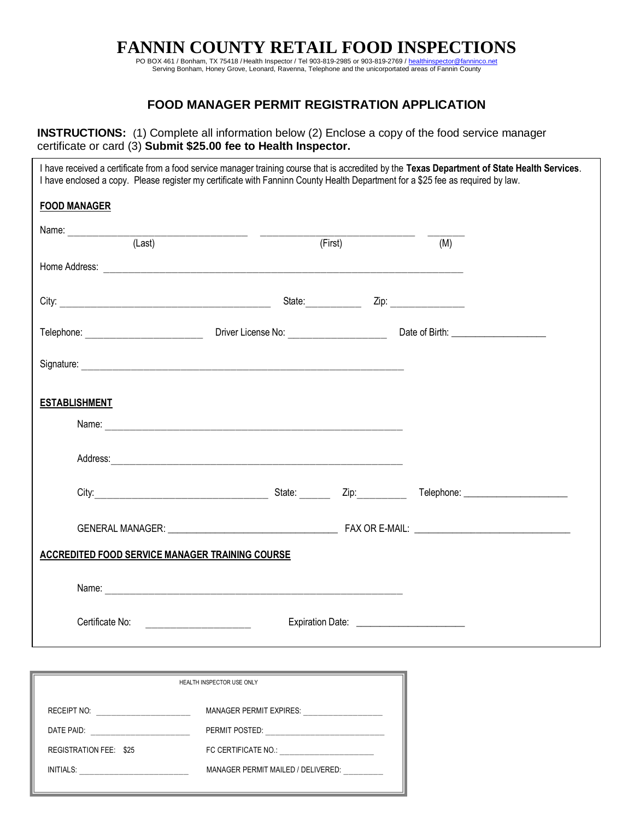PO BOX 461 / Bonham, TX 75418 / Health Inspector / Tel 903-819-2985 or 903-819-2769 / healthinspector@fanninco.net<br>Serving Bonham, Honey Grove, Leonard, Ravenna, Telephone and the unicorportated areas of Fannin County

## **FOOD MANAGER PERMIT REGISTRATION APPLICATION**

**INSTRUCTIONS:** (1) Complete all information below (2) Enclose a copy of the food service manager certificate or card (3) **Submit \$25.00 fee to Health Inspector.**

| I have received a certificate from a food service manager training course that is accredited by the Texas Department of State Health Services.<br>I have enclosed a copy. Please register my certificate with Fanninn County Health Department for a \$25 fee as required by law. |                                                  |                             |     |  |
|-----------------------------------------------------------------------------------------------------------------------------------------------------------------------------------------------------------------------------------------------------------------------------------|--------------------------------------------------|-----------------------------|-----|--|
| <b>FOOD MANAGER</b>                                                                                                                                                                                                                                                               |                                                  |                             |     |  |
|                                                                                                                                                                                                                                                                                   |                                                  | $\overline{(\text{First})}$ | (M) |  |
|                                                                                                                                                                                                                                                                                   |                                                  |                             |     |  |
|                                                                                                                                                                                                                                                                                   |                                                  |                             |     |  |
|                                                                                                                                                                                                                                                                                   |                                                  |                             |     |  |
|                                                                                                                                                                                                                                                                                   |                                                  |                             |     |  |
| <b>ESTABLISHMENT</b>                                                                                                                                                                                                                                                              |                                                  |                             |     |  |
|                                                                                                                                                                                                                                                                                   | Name:                                            |                             |     |  |
|                                                                                                                                                                                                                                                                                   |                                                  |                             |     |  |
|                                                                                                                                                                                                                                                                                   | City: 2ip: 2ip:                                  |                             |     |  |
|                                                                                                                                                                                                                                                                                   |                                                  |                             |     |  |
| <b>ACCREDITED FOOD SERVICE MANAGER TRAINING COURSE</b>                                                                                                                                                                                                                            |                                                  |                             |     |  |
|                                                                                                                                                                                                                                                                                   |                                                  |                             |     |  |
| Certificate No:                                                                                                                                                                                                                                                                   | <u> 1980 - Johann Barn, mars eta bainar eta </u> |                             |     |  |

| HEALTH INSPECTOR USE ONLY     |                                    |  |  |  |  |
|-------------------------------|------------------------------------|--|--|--|--|
| <b>RECEIPT NO:</b>            | <b>MANAGER PERMIT EXPIRES:</b>     |  |  |  |  |
| DATE PAID:                    | PERMIT POSTED:                     |  |  |  |  |
| <b>REGISTRATION FEE: \$25</b> | FC CERTIFICATE NO.:                |  |  |  |  |
| INITIALS:                     | MANAGER PERMIT MAILED / DELIVERED: |  |  |  |  |
|                               |                                    |  |  |  |  |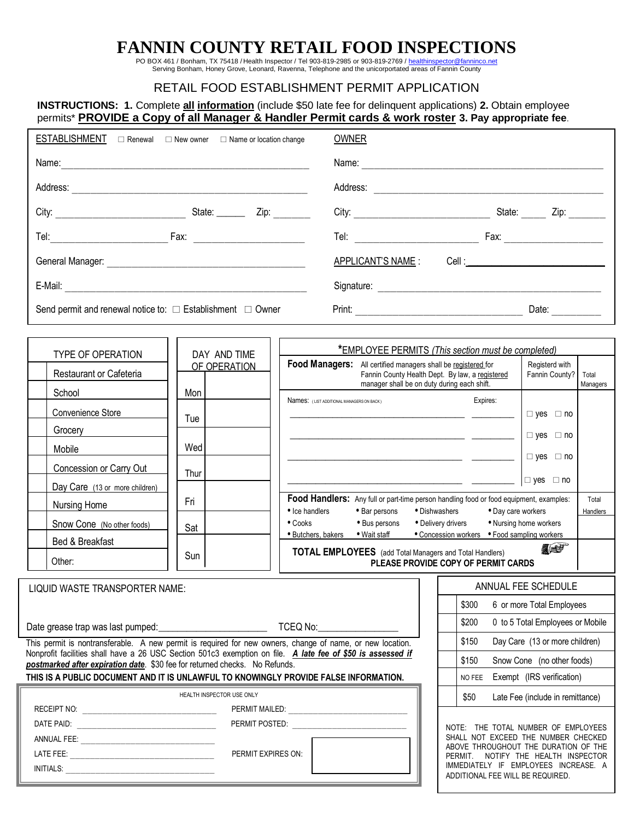PO BOX 461 / Bonham, TX 75418 / Health Inspector / Tel 903-819-2985 or 903-819-2769 / healthinspector@fanninco.net<br>Serving Bonham, Honey Grove, Leonard, Ravenna, Telephone and the unicorportated areas of Fannin County

## RETAIL FOOD ESTABLISHMENT PERMIT APPLICATION

## **INSTRUCTIONS: 1.** Complete **all information** (include \$50 late fee for delinquent applications) **2.** Obtain employee permits\* **PROVIDE a Copy of all Manager & Handler Permit cards & work roster 3. Pay appropriate fee**.

|                                                                                                                                                                                                                               |                              |                                                                                                                                                                                                                                | <b>OWNER</b>                   |                                             |                                     |                                                                                                                       |                                  |                   |
|-------------------------------------------------------------------------------------------------------------------------------------------------------------------------------------------------------------------------------|------------------------------|--------------------------------------------------------------------------------------------------------------------------------------------------------------------------------------------------------------------------------|--------------------------------|---------------------------------------------|-------------------------------------|-----------------------------------------------------------------------------------------------------------------------|----------------------------------|-------------------|
| Name: Name: Name: Name: Name: Name: Name: Name: Name: Name: Name: Name: Name: Name: Name: Name: Name: Name: Name: Name: Name: Name: Name: Name: Name: Name: Name: Name: Name: Name: Name: Name: Name: Name: Name: Name: Name: |                              |                                                                                                                                                                                                                                |                                |                                             |                                     |                                                                                                                       |                                  |                   |
|                                                                                                                                                                                                                               |                              |                                                                                                                                                                                                                                |                                |                                             |                                     |                                                                                                                       |                                  |                   |
|                                                                                                                                                                                                                               |                              |                                                                                                                                                                                                                                |                                |                                             |                                     |                                                                                                                       |                                  |                   |
|                                                                                                                                                                                                                               |                              |                                                                                                                                                                                                                                |                                |                                             |                                     |                                                                                                                       |                                  |                   |
|                                                                                                                                                                                                                               |                              |                                                                                                                                                                                                                                |                                | <u>APPLICANT'S NAME</u> :                   |                                     |                                                                                                                       |                                  |                   |
|                                                                                                                                                                                                                               |                              |                                                                                                                                                                                                                                |                                |                                             |                                     |                                                                                                                       |                                  |                   |
| Send permit and renewal notice to: $\Box$ Establishment $\Box$ Owner                                                                                                                                                          |                              |                                                                                                                                                                                                                                |                                |                                             |                                     |                                                                                                                       |                                  |                   |
|                                                                                                                                                                                                                               |                              |                                                                                                                                                                                                                                |                                |                                             |                                     |                                                                                                                       |                                  |                   |
| <b>TYPE OF OPERATION</b>                                                                                                                                                                                                      | DAY AND TIME<br>OF OPERATION | Food Managers: All certified managers shall be registered for                                                                                                                                                                  |                                |                                             |                                     | *EMPLOYEE PERMITS (This section must be completed)                                                                    | Registerd with                   |                   |
| Restaurant or Cafeteria                                                                                                                                                                                                       |                              |                                                                                                                                                                                                                                |                                | manager shall be on duty during each shift. |                                     | Fannin County Health Dept. By law, a registered                                                                       | Fannin County?                   | Total<br>Managers |
| School                                                                                                                                                                                                                        | Mon                          | Names: (LIST ADDITIONAL MANAGERS ON BACK)                                                                                                                                                                                      |                                |                                             |                                     | Expires:                                                                                                              |                                  |                   |
| Convenience Store                                                                                                                                                                                                             | Tue                          |                                                                                                                                                                                                                                |                                |                                             |                                     | <u> 2000 - Jan James James Barbara, politik eta provincia eta provincia eta provincia eta provincia eta provincia</u> | $\Box$ yes $\Box$ no             |                   |
| Grocery __________                                                                                                                                                                                                            |                              |                                                                                                                                                                                                                                |                                |                                             |                                     |                                                                                                                       | $\Box$ yes $\Box$ no             |                   |
| Mobile                                                                                                                                                                                                                        | Wed                          |                                                                                                                                                                                                                                |                                |                                             |                                     | <u> 1989 - Johann Stein, mars ann an t-Amhain ann an t-Amhain an t-Amhain ann an t-Amhain ann an t-Amhain ann an </u> | $\Box$ yes $\Box$ no             |                   |
| Concession or Carry Out                                                                                                                                                                                                       | Thur                         |                                                                                                                                                                                                                                |                                |                                             |                                     |                                                                                                                       |                                  |                   |
| Day Care (13 or more children)                                                                                                                                                                                                |                              |                                                                                                                                                                                                                                |                                |                                             |                                     |                                                                                                                       | $\Box$ yes $\Box$ no             |                   |
| Nursing Home                                                                                                                                                                                                                  | Fri                          |                                                                                                                                                                                                                                |                                |                                             |                                     | Food Handlers: Any full or part-time person handling food or food equipment, examples:                                |                                  | Total             |
| Snow Cone (No other foods)                                                                                                                                                                                                    | Sat                          | • Ice handlers<br>$\bullet$ Cooks                                                                                                                                                                                              | • Bar persons<br>• Bus persons |                                             | • Dishwashers<br>• Delivery drivers | • Day care workers                                                                                                    | • Nursing home workers           | Handlers          |
| Bed & Breakfast                                                                                                                                                                                                               |                              | • Butchers, bakers • Wait staff                                                                                                                                                                                                |                                |                                             |                                     | • Concession workers • Food sampling workers                                                                          |                                  |                   |
| Other:                                                                                                                                                                                                                        | Sun                          |                                                                                                                                                                                                                                |                                |                                             |                                     | <b>TOTAL EMPLOYEES</b> (add Total Managers and Total Handlers)<br>PLEASE PROVIDE COPY OF PERMIT CARDS                 | THE                              |                   |
| LIQUID WASTE TRANSPORTER NAME:                                                                                                                                                                                                |                              |                                                                                                                                                                                                                                |                                |                                             |                                     |                                                                                                                       | ANNUAL FEE SCHEDULE              |                   |
|                                                                                                                                                                                                                               |                              |                                                                                                                                                                                                                                |                                |                                             |                                     | \$300                                                                                                                 | 6 or more Total Employees        |                   |
|                                                                                                                                                                                                                               |                              |                                                                                                                                                                                                                                |                                |                                             |                                     | \$200                                                                                                                 | 0 to 5 Total Employees or Mobile |                   |
| This permit is nontransferable. A new permit is required for new owners, change of name, or new location.                                                                                                                     |                              |                                                                                                                                                                                                                                |                                |                                             |                                     | \$150                                                                                                                 | Day Care (13 or more children)   |                   |
| Nonprofit facilities shall have a 26 USC Section 501c3 exemption on file.  A late fee of \$50 is assessed if                                                                                                                  |                              |                                                                                                                                                                                                                                |                                |                                             |                                     | \$150                                                                                                                 | Snow Cone (no other foods)       |                   |
| postmarked after expiration date. \$30 fee for returned checks. No Refunds.<br>THIS IS A PUBLIC DOCUMENT AND IT IS UNLAWFUL TO KNOWINGLY PROVIDE FALSE INFORMATION.                                                           |                              |                                                                                                                                                                                                                                |                                |                                             |                                     | NO FEE                                                                                                                | Exempt (IRS verification)        |                   |
|                                                                                                                                                                                                                               | HEALTH INSPECTOR USE ONLY    |                                                                                                                                                                                                                                |                                |                                             |                                     | \$50                                                                                                                  | Late Fee (include in remittance) |                   |
|                                                                                                                                                                                                                               |                              | PERMIT MAILED: WARD AND THE RESIDENCE AND THE RESIDENCE OF A STRUCK AND THE RESIDENCE OF A STRUCK OF A STRUCK OF A STRUCK OF A STRUCK OF A STRUCK OF A STRUCK OF A STRUCK OF A STRUCK OF A STRUCK OF A STRUCK OF A STRUCK OF A |                                |                                             |                                     |                                                                                                                       |                                  |                   |
|                                                                                                                                                                                                                               |                              | PERMIT POSTED: WE ARRIVE THE STATE OF THE STATE OF THE STATE OF THE STATE OF THE STATE OF THE STATE OF THE STATE OF THE STATE OF THE STATE OF THE STATE OF THE STATE OF THE STATE OF THE STATE OF THE STATE OF THE STATE OF TH |                                |                                             |                                     | NOTE: THE TOTAL NUMBER OF EMPLOYEES                                                                                   |                                  |                   |
|                                                                                                                                                                                                                               |                              |                                                                                                                                                                                                                                |                                |                                             |                                     | SHALL NOT EXCEED THE NUMBER CHECKED<br>ABOVE THROUGHOUT THE DURATION OF THE                                           |                                  |                   |
|                                                                                                                                                                                                                               | PERMIT EXPIRES ON:           |                                                                                                                                                                                                                                |                                |                                             |                                     | PERMIT. NOTIFY THE HEALTH INSPECTOR<br>IMMEDIATELY IF EMPLOYEES INCREASE. A                                           |                                  |                   |
|                                                                                                                                                                                                                               |                              |                                                                                                                                                                                                                                |                                |                                             |                                     | ADDITIONAL FEE WILL BE REQUIRED.                                                                                      |                                  |                   |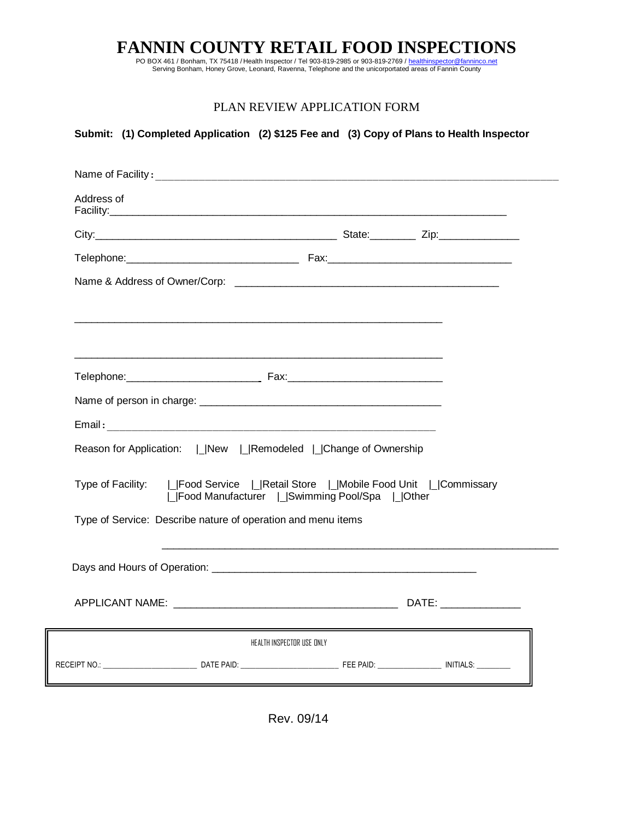PO BOX 461 / Bonham, TX 75418 / Health Inspector / Tel 903-819-2985 or 903-819-2769 / healthinspector@fanninco.net<br>Serving Bonham, Honey Grove, Leonard, Ravenna, Telephone and the unicorportated areas of Fannin County

## PLAN REVIEW APPLICATION FORM

| Address of |                                                                                                                                            |                                                                                                                                                                                                                                |
|------------|--------------------------------------------------------------------------------------------------------------------------------------------|--------------------------------------------------------------------------------------------------------------------------------------------------------------------------------------------------------------------------------|
|            |                                                                                                                                            |                                                                                                                                                                                                                                |
|            |                                                                                                                                            |                                                                                                                                                                                                                                |
|            |                                                                                                                                            |                                                                                                                                                                                                                                |
|            |                                                                                                                                            |                                                                                                                                                                                                                                |
|            |                                                                                                                                            |                                                                                                                                                                                                                                |
|            |                                                                                                                                            |                                                                                                                                                                                                                                |
|            |                                                                                                                                            |                                                                                                                                                                                                                                |
|            |                                                                                                                                            |                                                                                                                                                                                                                                |
|            |                                                                                                                                            |                                                                                                                                                                                                                                |
|            | Reason for Application:   New   Remodeled   Change of Ownership                                                                            |                                                                                                                                                                                                                                |
|            |                                                                                                                                            |                                                                                                                                                                                                                                |
|            | Type of Facility:     Food Service     Retail Store     Mobile Food Unit     Commissary<br>  Food Manufacturer   Swimming Pool/Spa   Other |                                                                                                                                                                                                                                |
|            | Type of Service: Describe nature of operation and menu items                                                                               |                                                                                                                                                                                                                                |
|            |                                                                                                                                            |                                                                                                                                                                                                                                |
|            |                                                                                                                                            |                                                                                                                                                                                                                                |
|            |                                                                                                                                            |                                                                                                                                                                                                                                |
|            |                                                                                                                                            | DATE: the contract of the contract of the contract of the contract of the contract of the contract of the contract of the contract of the contract of the contract of the contract of the contract of the contract of the cont |
|            | HEALTH INSPECTOR USE ONLY                                                                                                                  |                                                                                                                                                                                                                                |
|            |                                                                                                                                            |                                                                                                                                                                                                                                |

Rev. 09/14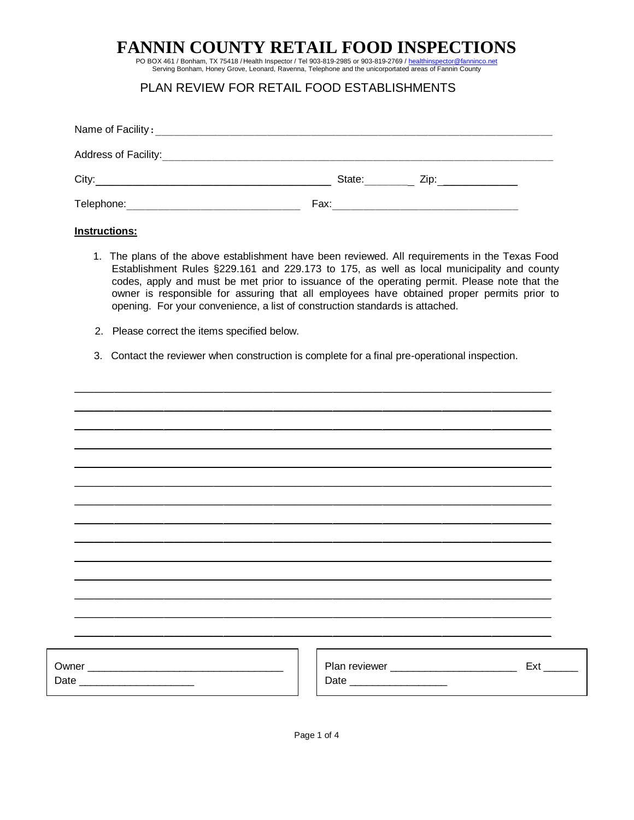PO BOX 461 / Bonham, TX 75418 / Health Inspector / Tel 903-819-2985 or 903-819-2769 / healthinspector@fanninco.net

Serving Bonham, Honey Grove, Leonard, Ravenna, Telephone and the unicorportated areas of Fannin County

## PLAN REVIEW FOR RETAIL FOOD ESTABLISHMENTS

| Name of Facility:    |        |      |  |
|----------------------|--------|------|--|
| Address of Facility: |        |      |  |
| City:                | State: | Zip: |  |
| Telephone:           | Fax:   |      |  |

#### **Instructions:**

- 1. The plans of the above establishment have been reviewed. All requirements in the Texas Food Establishment Rules §229.161 and 229.173 to 175, as well as local municipality and county codes, apply and must be met prior to issuance of the operating permit. Please note that the owner is responsible for assuring that all employees have obtained proper permits prior to opening. For your convenience, a list of construction standards is attached.
- 2. Please correct the items specified below.
- 3. Contact the reviewer when construction is complete for a final pre-operational inspection.

| Date _________________________ | Ext |
|--------------------------------|-----|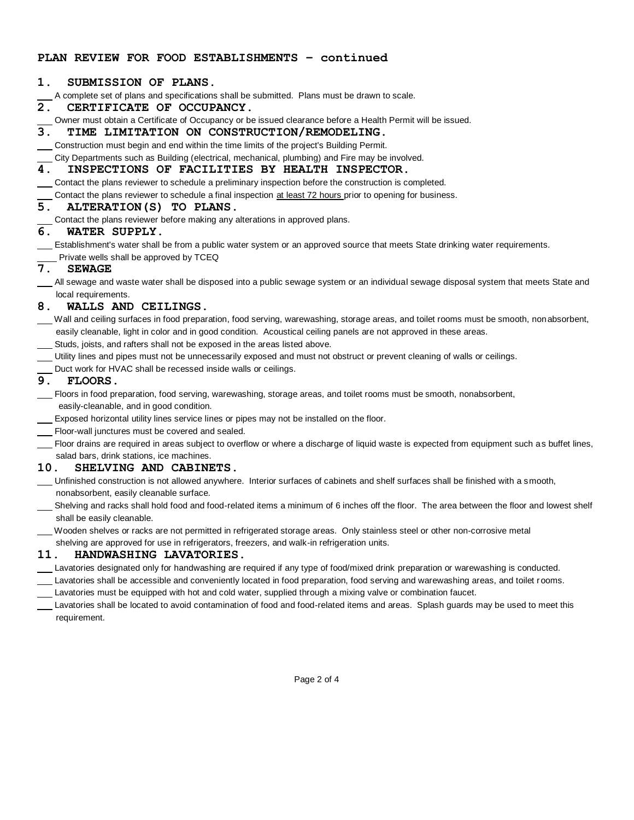#### **PLAN REVIEW FOR FOOD ESTABLISHMENTS – continued**

#### **1. SUBMISSION OF PLANS.**

A complete set of plans and specifications shall be submitted. Plans must be drawn to scale.

#### **2. CERTIFICATE OF OCCUPANCY.**

- Owner must obtain a Certificate of Occupancy or be issued clearance before a Health Permit will be issued.
- **3. TIME LIMITATION ON CONSTRUCTION/REMODELING.**
- Construction must begin and end within the time limits of the project's Building Permit.

City Departments such as Building (electrical, mechanical, plumbing) and Fire may be involved.

#### **4. INSPECTIONS OF FACILITIES BY HEALTH INSPECTOR.**

Contact the plans reviewer to schedule a preliminary inspection before the construction is completed.

Contact the plans reviewer to schedule a final inspection at least 72 hours prior to opening for business.

## **5. ALTERATION(S) TO PLANS.**

Contact the plans reviewer before making any alterations in approved plans.

#### **6. WATER SUPPLY.**

Establishment's water shall be from a public water system or an approved source that meets State drinking water requirements.

\_ Private wells shall be approved by TCEQ

#### **7. SEWAGE**

 All sewage and waste water shall be disposed into a public sewage system or an individual sewage disposal system that meets State and local requirements.

#### **8. WALLS AND CEILINGS.**

- Wall and ceiling surfaces in food preparation, food serving, warewashing, storage areas, and toilet rooms must be smooth, nonabsorbent, easily cleanable, light in color and in good condition. Acoustical ceiling panels are not approved in these areas.
- Studs, joists, and rafters shall not be exposed in the areas listed above.
- Utility lines and pipes must not be unnecessarily exposed and must not obstruct or prevent cleaning of walls or ceilings.
- Duct work for HVAC shall be recessed inside walls or ceilings.

### **9. FLOORS.**

- Floors in food preparation, food serving, warewashing, storage areas, and toilet rooms must be smooth, nonabsorbent, easily-cleanable, and in good condition.
- Exposed horizontal utility lines service lines or pipes may not be installed on the floor.
- Floor-wall junctures must be covered and sealed.
- Floor drains are required in areas subject to overflow or where a discharge of liquid waste is expected from equipment such as buffet lines, salad bars, drink stations, ice machines.

#### **10. SHELVING AND CABINETS.**

- Unfinished construction is not allowed anywhere. Interior surfaces of cabinets and shelf surfaces shall be finished with a smooth, nonabsorbent, easily cleanable surface.
- Shelving and racks shall hold food and food-related items a minimum of 6 inches off the floor. The area between the floor and lowest shelf shall be easily cleanable.
- Wooden shelves or racks are not permitted in refrigerated storage areas. Only stainless steel or other non-corrosive metal
- shelving are approved for use in refrigerators, freezers, and walk-in refrigeration units.

#### **11. HANDWASHING LAVATORIES.**

- Lavatories designated only for handwashing are required if any type of food/mixed drink preparation or warewashing is conducted.
- Lavatories shall be accessible and conveniently located in food preparation, food serving and warewashing areas, and toilet rooms. Lavatories must be equipped with hot and cold water, supplied through a mixing valve or combination faucet.
- Lavatories shall be located to avoid contamination of food and food-related items and areas. Splash guards may be used to meet this requirement.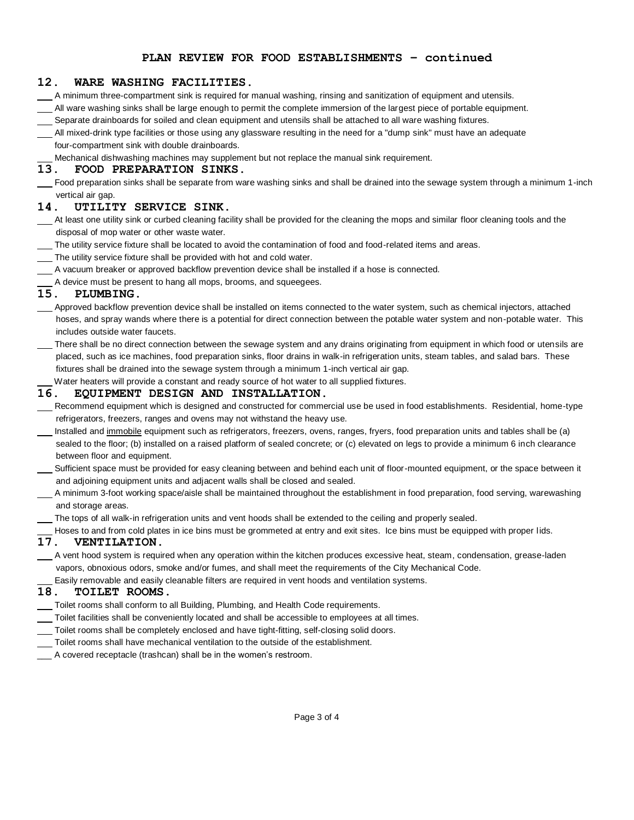#### **PLAN REVIEW FOR FOOD ESTABLISHMENTS – continued**

#### **12. WARE WASHING FACILITIES.**

A minimum three-compartment sink is required for manual washing, rinsing and sanitization of equipment and utensils.

- All ware washing sinks shall be large enough to permit the complete immersion of the largest piece of portable equipment. Separate drainboards for soiled and clean equipment and utensils shall be attached to all ware washing fixtures.
- All mixed-drink type facilities or those using any glassware resulting in the need for a "dump sink" must have an adequate four-compartment sink with double drainboards.

Mechanical dishwashing machines may supplement but not replace the manual sink requirement.

#### **13. FOOD PREPARATION SINKS.**

 Food preparation sinks shall be separate from ware washing sinks and shall be drained into the sewage system through a minimum 1-inch vertical air gap.

#### **14. UTILITY SERVICE SINK.**

- At least one utility sink or curbed cleaning facility shall be provided for the cleaning the mops and similar floor cleaning tools and the disposal of mop water or other waste water.
- The utility service fixture shall be located to avoid the contamination of food and food-related items and areas.
- The utility service fixture shall be provided with hot and cold water.
- A vacuum breaker or approved backflow prevention device shall be installed if a hose is connected.

A device must be present to hang all mops, brooms, and squeegees.

#### **15. PLUMBING.**

- Approved backflow prevention device shall be installed on items connected to the water system, such as chemical injectors, attached hoses, and spray wands where there is a potential for direct connection between the potable water system and non-potable water. This includes outside water faucets.
- There shall be no direct connection between the sewage system and any drains originating from equipment in which food or utensils are placed, such as ice machines, food preparation sinks, floor drains in walk-in refrigeration units, steam tables, and salad bars. These fixtures shall be drained into the sewage system through a minimum 1-inch vertical air gap.

Water heaters will provide a constant and ready source of hot water to all supplied fixtures.

#### **16. EQUIPMENT DESIGN AND INSTALLATION.**

- Recommend equipment which is designed and constructed for commercial use be used in food establishments. Residential, home-type refrigerators, freezers, ranges and ovens may not withstand the heavy use.
- Installed and immobile equipment such as refrigerators, freezers, ovens, ranges, fryers, food preparation units and tables shall be (a) sealed to the floor; (b) installed on a raised platform of sealed concrete; or (c) elevated on legs to provide a minimum 6 inch clearance between floor and equipment.
- Sufficient space must be provided for easy cleaning between and behind each unit of floor-mounted equipment, or the space between it and adjoining equipment units and adjacent walls shall be closed and sealed.
- A minimum 3-foot working space/aisle shall be maintained throughout the establishment in food preparation, food serving, warewashing and storage areas.

The tops of all walk-in refrigeration units and vent hoods shall be extended to the ceiling and properly sealed.

Hoses to and from cold plates in ice bins must be grommeted at entry and exit sites. Ice bins must be equipped with proper lids.

#### **17. VENTILATION.**

 A vent hood system is required when any operation within the kitchen produces excessive heat, steam, condensation, grease-laden vapors, obnoxious odors, smoke and/or fumes, and shall meet the requirements of the City Mechanical Code.

**Easily removable and easily cleanable filters are required in vent hoods and ventilation systems.**<br>**18. TOILET ROOMS.** 

#### **18. TOILET ROOMS.**

- Toilet rooms shall conform to all Building, Plumbing, and Health Code requirements.
- Toilet facilities shall be conveniently located and shall be accessible to employees at all times.
- Toilet rooms shall be completely enclosed and have tight-fitting, self-closing solid doors.
- Toilet rooms shall have mechanical ventilation to the outside of the establishment.
- \_\_\_ A covered receptacle (trashcan) shall be in the women's restroom.